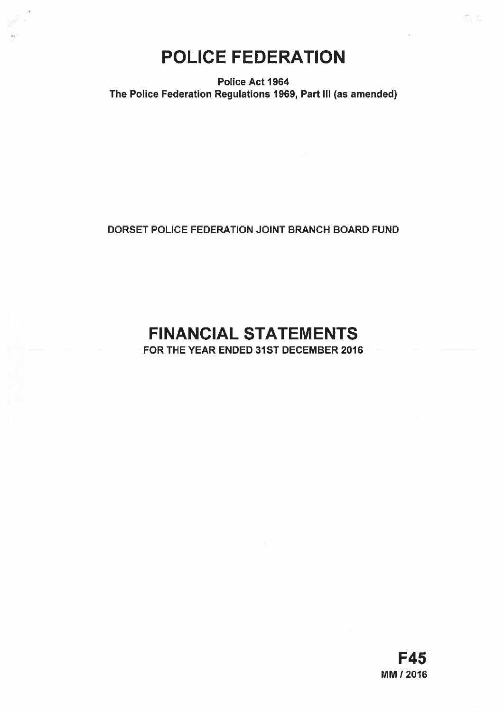# POLICE FEDERATION

Police Act 1964 The Police Federation Regulations 1969, Part Ill (as amended)

DORSET POLICE FEDERATION JOINT BRANCH BOARD FUND

# FINANCIAL STATEMENTS

FOR THE YEAR ENDED 31ST DECEMBER 2016

ti n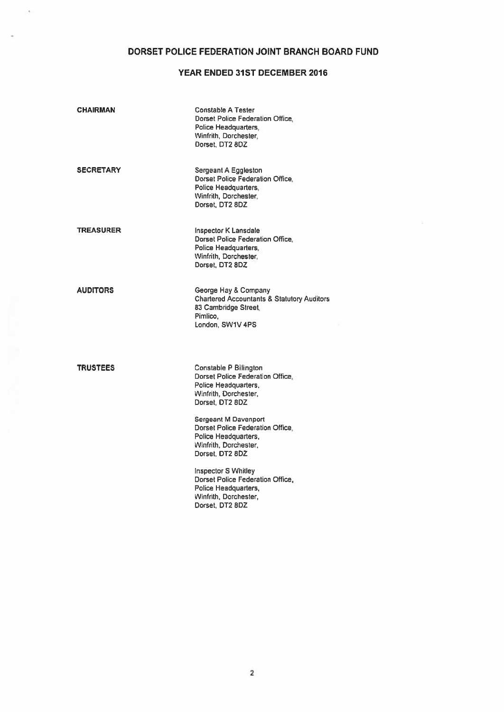# DORSET POLICE FEDERATION JOINT BRANCH BOARD FUND

 $\overline{a}$ 

# YEAR ENDED 31ST DECEMBER 2016

| <b>CHAIRMAN</b>  | <b>Constable A Tester</b><br>Dorset Police Federation Office.<br>Police Headquarters,<br>Winfrith, Dorchester,<br>Dorset, DT2 8DZ     |  |
|------------------|---------------------------------------------------------------------------------------------------------------------------------------|--|
| <b>SECRETARY</b> | Sergeant A Eggleston<br>Dorset Police Federation Office.<br>Police Headquarters,<br>Winfrith, Dorchester,<br>Dorset, DT2 8DZ          |  |
| <b>TREASURER</b> | Inspector K Lansdale<br>Dorset Police Federation Office,<br>Police Headquarters,<br>Winfrith, Dorchester,<br>Dorset, DT2 8DZ          |  |
| <b>AUDITORS</b>  | George Hay & Company<br><b>Chartered Accountants &amp; Statutory Auditors</b><br>83 Cambridge Street.<br>Pimlico.<br>London, SW1V 4PS |  |
| <b>TRUSTEES</b>  | Constable P Billington<br>Dorset Police Federation Office.<br>Police Headquarters,<br>Winfrith, Dorchester,<br>Dorset, DT2 8DZ        |  |
|                  | Sergeant M Davenport<br>Dorset Police Federation Office.<br>Police Headquarters,<br>Winfrith, Dorchester,<br>Dorset, DT2 8DZ          |  |
|                  | <b>Inspector S Whitley</b><br>Dorset Police Federation Office.<br>Police Headquarters,<br>Winfrith, Dorchester,<br>Dorset, DT2 8DZ    |  |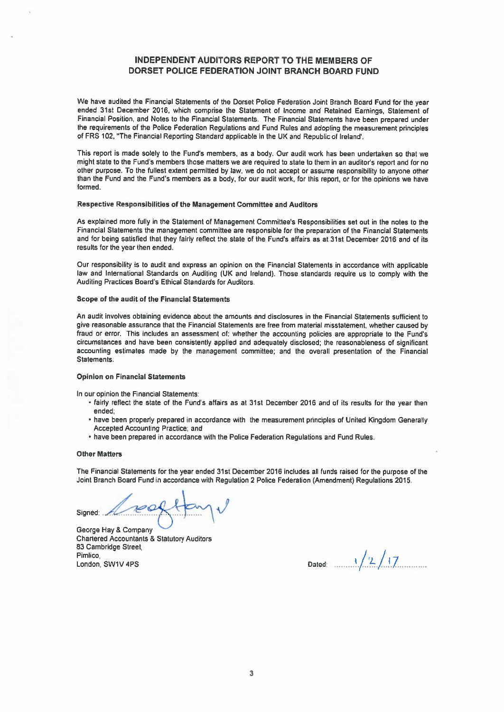# INDEPENDENT AUDITORS REPORT TO THE MEMBERS OF DORSET POLICE FEDERATION JOINT BRANCH BOARD FUND

We have audited the Financial Statements of the Dorset Police Federation Joint Branch Board Fund for the year ended 31st December 2016. which comprise the Statement of Income and Retained Earnings. Statement of Financial Position, and Notes to the Financial Statements The Financial Statements have been prepare<sup>d</sup> under the requirements of the Police Federation Regulations and Fund Rules and adopting the measurement principles of FRS 102, "The Financial Reporting Standard applicable in the UK and Republic of Ireland'.

This report is made solely to the Fund's members, as a body. Our audit work has been undertaken so that we might state to the Fund's members those matters we are required to state to them in an auditor's repor<sup>t</sup> and for no other purpose. To the fullest extent permitted by law, we do not accep<sup>t</sup> or assume responsibility to anyone other than the Fund and the Fund's members as <sup>a</sup> body, for our audit work, for this report. or for the opinions we have formed

## Respective Responsibilities of the Management Committee and Auditors

As explained more fully in the Statement of Management Committee's Responsibilities set out in the notes to the Financial Statements the managemen<sup>t</sup> committee are responsible for the preparation of the Financial Statements and for being satisfied that they fairly reflect the state of the Fund's affairs as at 31st December 2016 and of its results for the year then ended,

Our responsibility is to audit and express an opinion on the Financial Statements in accordance with applicable law and International Standards on Auditing (UK and Ireland). Those standards require us to comply with the Auditing Practices Board's Ethical Standards for Auditors.

#### Scope of the audit of the Financial Statements

An audit involves obtaining evidence about the amounts and disclosures in the Financial Statements sufficient to <sup>g</sup>ive reasonable assurance that the Financial Statements are free from material misstatement, whether caused by fraud or error. This includes an assessment of: whether the accounting policies are appropriate to the Fund's circumstances and have been consistently applied and adequately disclosed; the reasonableness of significant accounting estimates made by the managemen<sup>t</sup> committee; and the overall presentation of the Financial Statements.

## Opinion on Financial Statements

In our opinion the Financial Statements:

- tairly reflect the state of the Fund's affairs as at 31st December 2016 and of its results for the year then ended,
- have been properly prepared in accordance with the measurement principles of United Kingdom Generally Accepted Accounting Practice; and
- have been prepared in accordance with the Police Federation Regulations and Fund Rules.

#### **Other Matters**

The Financial Statements for the year ended 31st December 2016 includes all funds raised for the purpose of the Joint Branch Board Fund in accordance with Regulation <sup>2</sup> Police Federation (Amendment) Regulations 2015.

Signed:

George hay & Company Chartered Accountants & Statutory Auditors 83 Cambridge Street, Pimlico, / 'L / <sup>1</sup> London, SW1V 4PS Dated. ...L7 /,,,.,7.......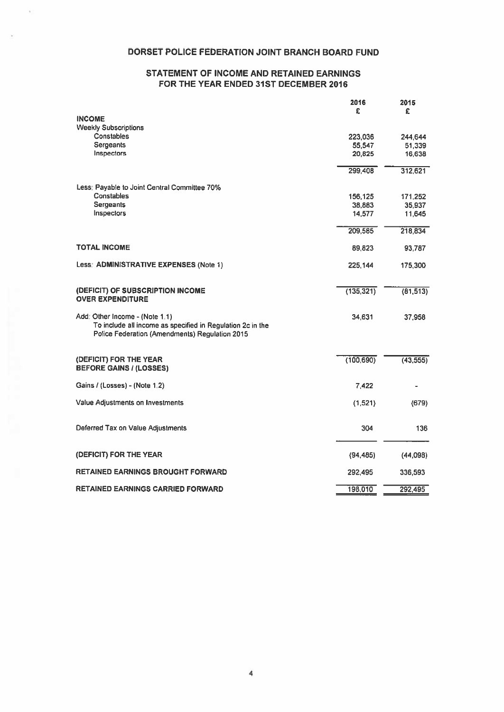# DORSET POLICE FEDERATION JOINT BRANCH BOARD FUND

# STATEMENT OF INCOME AND RETAINED EARNINGS FOR THE YEAR ENDED 31ST DECEMBER 2016

|                                                                                                                                                | 2016<br>£  | 2015      |
|------------------------------------------------------------------------------------------------------------------------------------------------|------------|-----------|
| <b>INCOME</b>                                                                                                                                  |            | £         |
| <b>Weekly Subscriptions</b>                                                                                                                    |            |           |
| Constables                                                                                                                                     | 223,036    | 244,644   |
| Sergeants                                                                                                                                      | 55,547     | 51,339    |
| Inspectors                                                                                                                                     | 20,825     | 16,638    |
|                                                                                                                                                | 299,408    | 312,621   |
| Less: Payable to Joint Central Committee 70%                                                                                                   |            |           |
| Constables                                                                                                                                     | 156,125    | 171,252   |
| <b>Sergeants</b>                                                                                                                               | 38,883     | 35,937    |
| Inspectors                                                                                                                                     | 14,577     | 11,645    |
|                                                                                                                                                | 209,585    | 218,834   |
| <b>TOTAL INCOME</b>                                                                                                                            | 89,823     | 93,787    |
| Less: ADMINISTRATIVE EXPENSES (Note 1)                                                                                                         | 225,144    | 175,300   |
| (DEFICIT) OF SUBSCRIPTION INCOME<br><b>OVER EXPENDITURE</b>                                                                                    | (135, 321) | (81, 513) |
| Add: Other Income - (Note 1.1)<br>To include all income as specified in Regulation 2c in the<br>Police Federation (Amendments) Regulation 2015 | 34,631     | 37,958    |
|                                                                                                                                                |            |           |
| (DEFICIT) FOR THE YEAR<br><b>BEFORE GAINS / (LOSSES)</b>                                                                                       | (100, 690) | (43, 555) |
| Gains / (Losses) - (Note 1.2)                                                                                                                  | 7,422      |           |
| Value Adjustments on Investments                                                                                                               | (1, 521)   | (679)     |
| Deferred Tax on Value Adjustments                                                                                                              | 304        | 136       |
| (DEFICIT) FOR THE YEAR                                                                                                                         | (94, 485)  | (44,098)  |
| <b>RETAINED EARNINGS BROUGHT FORWARD</b>                                                                                                       | 292,495    | 336,593   |
| <b>RETAINED EARNINGS CARRIED FORWARD</b>                                                                                                       | 198,010    | 292,495   |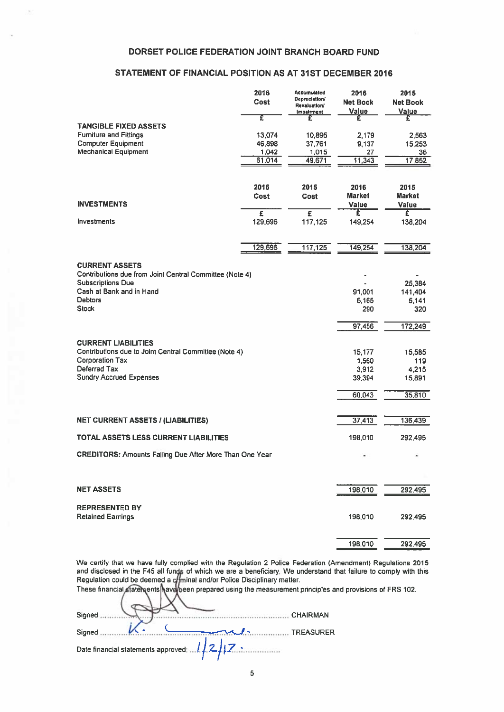# DORSET POLICE FEDERATION JOINT BRANCH BOARD FUND

i.

# STATEMENT OF FINANCIAL POSITION AS AT 31ST DECEMBER 2016

| DORSET POLICE FEDERATION JOINT BRANCH BOARD FUND                                |                                  |                                                                                 |                                  |                                  |
|---------------------------------------------------------------------------------|----------------------------------|---------------------------------------------------------------------------------|----------------------------------|----------------------------------|
| STATEMENT OF FINANCIAL POSITION AS AT 31ST DECEMBER 2016                        |                                  |                                                                                 |                                  |                                  |
|                                                                                 | 2016<br>Cost                     | <b>Accumulated</b><br>Depreciation/<br><b>Revaluation/</b><br><b>Impairment</b> | 2016<br><b>Net Book</b><br>Value | 2015<br><b>Net Book</b><br>Value |
| <b>TANGIBLE FIXED ASSETS</b>                                                    | Ŧ                                | £                                                                               | £                                | £                                |
| <b>Furniture and Fittings</b>                                                   | 13,074                           | 10,895                                                                          | 2.179                            | 2,563                            |
| <b>Computer Equipment</b><br><b>Mechanical Equipment</b>                        | 46,898<br>1,042                  | 37,761<br>1,015                                                                 | 9,137<br>27                      | 15,253<br>36                     |
|                                                                                 | 61,014                           | 49,671                                                                          | 11,343                           | 17,852                           |
|                                                                                 |                                  |                                                                                 |                                  |                                  |
|                                                                                 | 2016                             | 2015                                                                            | 2016                             | 2015                             |
| <b>INVESTMENTS</b>                                                              | Cost                             | Cost                                                                            | <b>Market</b><br><b>Value</b>    | <b>Market</b><br>Value           |
| Investments                                                                     | $\overline{\epsilon}$<br>129,696 | £                                                                               | έ                                | Ξ                                |
|                                                                                 |                                  | 117,125                                                                         | 149,254                          | 138,204                          |
|                                                                                 | 129,696                          | 117,125                                                                         | 149,254                          | 138,204                          |
| <b>CURRENT ASSETS</b>                                                           |                                  |                                                                                 |                                  |                                  |
| Contributions due from Joint Central Committee (Note 4)                         |                                  |                                                                                 |                                  |                                  |
| <b>Subscriptions Due</b><br>Cash at Bank and in Hand                            |                                  |                                                                                 | 91.001                           | 25,384<br>141,404                |
| <b>Debtors</b>                                                                  |                                  |                                                                                 | 6,165                            | 5,141                            |
| <b>Stock</b>                                                                    |                                  |                                                                                 | 290                              | 320                              |
|                                                                                 |                                  |                                                                                 | 97,456                           | 172,249                          |
| <b>CURRENT LIABILITIES</b>                                                      |                                  |                                                                                 |                                  |                                  |
| Contributions due to Joint Central Committee (Note 4)<br><b>Corporation Tax</b> |                                  |                                                                                 | 15,177<br>1,560                  | 15,585<br>119                    |
| Deferred Tax                                                                    |                                  |                                                                                 | 3,912                            | 4,215                            |
| <b>Sundry Accrued Expenses</b>                                                  |                                  |                                                                                 | 39,394                           | 15,891                           |
|                                                                                 |                                  |                                                                                 | 60,043                           | 35,810                           |
|                                                                                 |                                  |                                                                                 |                                  |                                  |
| <b>NET CURRENT ASSETS / (LIABILITIES)</b>                                       |                                  |                                                                                 | 37,413                           | 136,439                          |
| <b>TOTAL ASSETS LESS CURRENT LIABILITIES</b>                                    |                                  |                                                                                 | 198,010                          | 292,495                          |
| <b>CREDITORS: Amounts Falling Due After More Than One Year</b>                  |                                  |                                                                                 |                                  |                                  |
|                                                                                 |                                  |                                                                                 |                                  |                                  |
| <b>NET ASSETS</b>                                                               |                                  |                                                                                 | 198,010                          | 292,495                          |
| <b>REPRESENTED BY</b>                                                           |                                  |                                                                                 |                                  |                                  |
| <b>Retained Earnings</b>                                                        |                                  |                                                                                 | 198,010                          | 292,495                          |
|                                                                                 |                                  |                                                                                 |                                  |                                  |
|                                                                                 |                                  |                                                                                 | 198,010                          | 292,495                          |

We certify that we have fully complied with the Regulation 2 Police Federation (Amendment) Regulations 2015 and disclosed in the F45 all funds of which we are a beneficiary. We understand that failure to comply with this Regulation could be deemed a c**ri**minal and/or Police Disciplinary matter.

| These financial statements have been prepared using the measurement principles and provisions of FRS 102 |
|----------------------------------------------------------------------------------------------------------|
|                                                                                                          |
| Signed<br><b>CHAIRMAN</b>                                                                                |
| Signed<br><b>TREASURER</b>                                                                               |
| Date financial statements approved:  1.12.17                                                             |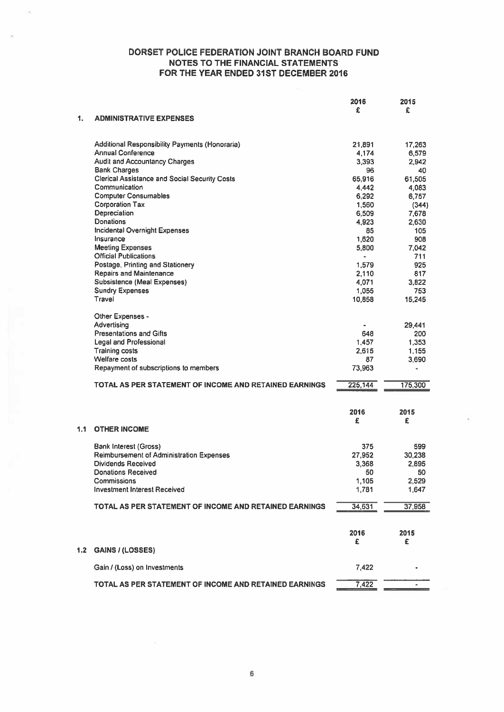|     |                                                         | 2016        | 2015         |
|-----|---------------------------------------------------------|-------------|--------------|
| 1.  | <b>ADMINISTRATIVE EXPENSES</b>                          | £           | £            |
|     | <b>Additional Responsibility Payments (Honoraria)</b>   | 21,891      | 17,263       |
|     | <b>Annual Conference</b>                                | 4,174       | 6,579        |
|     | <b>Audit and Accountancy Charges</b>                    | 3.393       | 2,942        |
|     | <b>Bank Charges</b>                                     | 96          | 40           |
|     | <b>Clerical Assistance and Social Security Costs</b>    | 65,916      | 61,505       |
|     | Communication                                           | 4,442       | 4,083        |
|     | <b>Computer Consumables</b>                             | 6,292       | 6,757        |
|     | <b>Corporation Tax</b>                                  | 1,560       | (344)        |
|     | Depreciation                                            | 6,509       | 7,678        |
|     | <b>Donations</b>                                        | 4,923       | 2,630        |
|     | Incidental Overnight Expenses                           | 85          | 105          |
|     | Insurance                                               | 1.620       | 908          |
|     | <b>Meeting Expenses</b><br><b>Official Publications</b> | 5,800<br>ä, | 7.042<br>711 |
|     | Postage, Printing and Stationery                        | 1,579       | 925          |
|     | <b>Repairs and Maintenance</b>                          | 2,110       | 817          |
|     | Subsistence (Meal Expenses)                             | 4,071       | 3,822        |
|     | <b>Sundry Expenses</b>                                  | 1,055       | 753          |
|     | Travel                                                  | 10,858      | 15,245       |
|     |                                                         |             |              |
|     | Other Expenses -<br>Advertising                         |             | 29,441       |
|     | <b>Presentations and Gifts</b>                          | ٠<br>648    | 200          |
|     | <b>Legal and Professional</b>                           | 1.457       | 1,353        |
|     | <b>Training costs</b>                                   | 2.615       | 1.155        |
|     | Welfare costs                                           | 87          | 3,690        |
|     | Repayment of subscriptions to members                   | 73,963      |              |
|     |                                                         |             |              |
|     | TOTAL AS PER STATEMENT OF INCOME AND RETAINED EARNINGS  | 225,144     | 175,300      |
|     |                                                         | 2016        | 2015         |
|     |                                                         | £           | £            |
| 1.1 | <b>OTHER INCOME</b>                                     |             |              |
|     | Bank Interest (Gross)                                   | 375         | 599          |
|     | <b>Reimbursement of Administration Expenses</b>         | 27,952      | 30,238       |
|     | Dividends Received                                      | 3,368       | 2,895        |
|     | <b>Donations Received</b>                               | 50          | 50           |
|     | Commissions                                             | 1,105       | 2,529        |
|     | <b>Investment Interest Received</b>                     | 1,781       | 1,647        |
|     | TOTAL AS PER STATEMENT OF INCOME AND RETAINED EARNINGS  | 34,631      | 37,958       |
|     |                                                         |             |              |
|     |                                                         | 2016        | 2015         |
|     |                                                         | £           | £            |
| 1.2 | <b>GAINS / (LOSSES)</b>                                 |             |              |
|     | Gain / (Loss) on Investments                            | 7,422       |              |
|     | TOTAL AS PER STATEMENT OF INCOME AND RETAINED EARNINGS  | 7,422       |              |
|     |                                                         |             |              |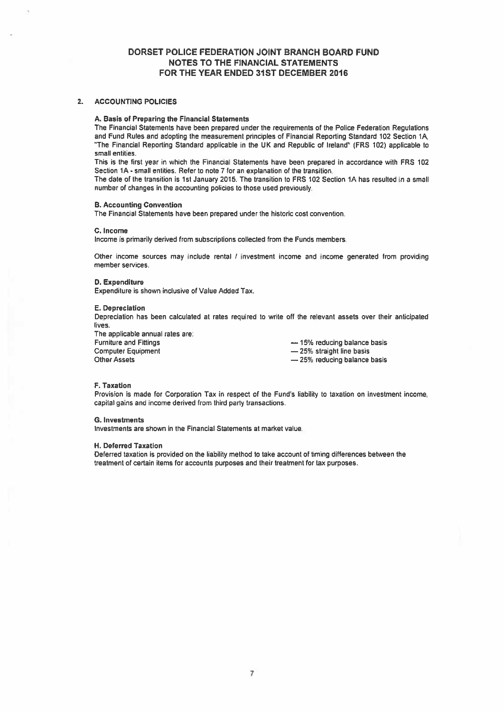## 2. ACCOUNTING POLICIES

#### A. Basis of Preparing the Financial Statements

The Financial Statements have been prepared under the requirements of the Police Federation Regulations and Fund Rules and adopting the measurement principles of Financial Reporting Standard 102 Section 1A, "The Financial Reporting Standard applicable in the UK and Republic of Ireland" (FRS 102) applicable to small entities.

This is the first year in which the Financial Statements have been prepared in accordance with FRS 102 Section 1A -small entities. Refer to note 7 for an explanation of the transition.

The date of the transition is 1st January 2015. The transition to FRS 102 Section 1A has resulted in <sup>a</sup> small number of changes in the accounting policies to those used previously.

### B. Accounting Convention

The Financial Statements have been prepared under the historic cost convention.

#### C. Income

Income is primarily derived from subscriptions collected from the Funds members.

Other income sources may include rental / investment income and income generated from providing member services.

#### 0. Expenditure

Expenditure is shown inclusive of Value Added Tax.

## E. Depreciation

Depreciation has been calculated at rates required to write off (he relevant assets over their anticipated lives.

The applicable annual rates are:<br>Furniture and Fittings Computer Equipment **25%** straight line basis Other Assets

 $-$  15% reducing balance basis — 25% reducing balance basis

## F. Taxation

Provision is made for Corporation Tax in respect of the Fund's liability to taxation on investment income. capital gains and income derived from third party transactions.

## G. Investments

Investments are shown in the Financial Statements at market value.

#### H. Deferred Taxation

Deferred taxation is provided on the liability method to take account of timing differences between the treatment of certain items for accounts purposes and their treatment for tax purposes.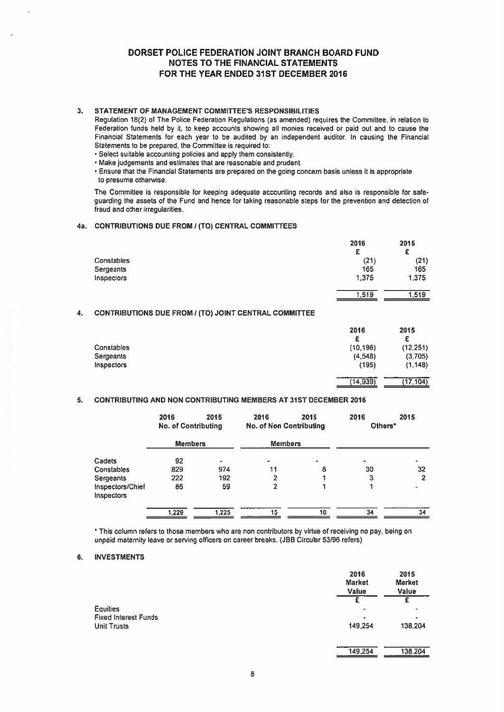## 3. STATEMENT OF MANAGEMENT COMMITTEE'S RESPONSIBILITIES

- Select suitable accounting policies and apply them consistently.
- Make judgements and estimates that are reasonable and prudent.

## 4a. CONTRIBUTIONS DUE FROM / (TO) CENTRAL COMMITTEES

|            | 2016  | 2015  |
|------------|-------|-------|
|            | £     | £     |
| Constables | (21)  | (21)  |
| Sergeants  | 165   | 165   |
| Inspectors | 1,375 | 1,375 |
|            | 1,519 | 1.519 |
|            |       |       |

## 4. CONTRIBUTIONS DUE FROM / (TO) JOINT CENTRAL COMMITTEE

|                                                                                                                                                                                                                                                                                                                                                                                                                                                                                                                                                                                                                                                                                                                           | DORSET POLICE FEDERATION JOINT BRANCH BOARD FUND<br><b>NOTES TO THE FINANCIAL STATEMENTS</b><br>FOR THE YEAR ENDED 31ST DECEMBER 2016 |                 |           |
|---------------------------------------------------------------------------------------------------------------------------------------------------------------------------------------------------------------------------------------------------------------------------------------------------------------------------------------------------------------------------------------------------------------------------------------------------------------------------------------------------------------------------------------------------------------------------------------------------------------------------------------------------------------------------------------------------------------------------|---------------------------------------------------------------------------------------------------------------------------------------|-----------------|-----------|
| STATEMENT OF MANAGEMENT COMMITTEE'S RESPONSIBILITIES<br>Regulation 18(2) of The Police Federation Regulations (as amended) requires the Committee, in relation to<br>Federation funds held by it, to keep accounts showing all monies received or paid out and to cause the<br>Financial Statements for each year to be audited by an independent auditor. In causing the Financial<br>Statements to be prepared, the Committee is required to:<br>· Select suitable accounting policies and apply them consistently.<br>Make judgements and estimates that are reasonable and prudent.<br>Ensure that the Financial Statements are prepared on the going concern basis unless it is appropriate<br>to presume otherwise. |                                                                                                                                       |                 |           |
| The Committee is responsible for keeping adequate accounting records and also is responsible for safe-<br>guarding the assets of the Fund and hence for taking reasonable steps for the prevention and detection of<br>fraud and other irregularities.                                                                                                                                                                                                                                                                                                                                                                                                                                                                    |                                                                                                                                       |                 |           |
| CONTRIBUTIONS DUE FROM / (TO) CENTRAL COMMITTEES                                                                                                                                                                                                                                                                                                                                                                                                                                                                                                                                                                                                                                                                          |                                                                                                                                       |                 |           |
|                                                                                                                                                                                                                                                                                                                                                                                                                                                                                                                                                                                                                                                                                                                           |                                                                                                                                       | 2016            | 2015      |
| Constables                                                                                                                                                                                                                                                                                                                                                                                                                                                                                                                                                                                                                                                                                                                |                                                                                                                                       | £<br>(21)       | £<br>(21) |
| Sergeants                                                                                                                                                                                                                                                                                                                                                                                                                                                                                                                                                                                                                                                                                                                 |                                                                                                                                       | 165             | 165       |
| Inspectors                                                                                                                                                                                                                                                                                                                                                                                                                                                                                                                                                                                                                                                                                                                |                                                                                                                                       | 1,375           | 1 375     |
|                                                                                                                                                                                                                                                                                                                                                                                                                                                                                                                                                                                                                                                                                                                           |                                                                                                                                       | 1,519           | 1,519     |
| CONTRIBUTIONS DUE FROM / (TO) JOINT CENTRAL COMMITTEE                                                                                                                                                                                                                                                                                                                                                                                                                                                                                                                                                                                                                                                                     |                                                                                                                                       |                 |           |
|                                                                                                                                                                                                                                                                                                                                                                                                                                                                                                                                                                                                                                                                                                                           |                                                                                                                                       | 2016            | 2015      |
|                                                                                                                                                                                                                                                                                                                                                                                                                                                                                                                                                                                                                                                                                                                           |                                                                                                                                       | £               | £         |
| Constables                                                                                                                                                                                                                                                                                                                                                                                                                                                                                                                                                                                                                                                                                                                |                                                                                                                                       | (10, 196)       | (12, 251) |
| Sergeants                                                                                                                                                                                                                                                                                                                                                                                                                                                                                                                                                                                                                                                                                                                 |                                                                                                                                       | (4,548)         | (3,705)   |
| <b>Inspectors</b>                                                                                                                                                                                                                                                                                                                                                                                                                                                                                                                                                                                                                                                                                                         |                                                                                                                                       | (195)           | (1, 148)  |
|                                                                                                                                                                                                                                                                                                                                                                                                                                                                                                                                                                                                                                                                                                                           |                                                                                                                                       | (14, 939)       | (17, 104) |
| CONTRIBUTING AND NON CONTRIBUTING MEMBERS AT 31ST DECEMBER 2016                                                                                                                                                                                                                                                                                                                                                                                                                                                                                                                                                                                                                                                           |                                                                                                                                       |                 |           |
| 2015<br>2016<br><b>No. of Contributing</b>                                                                                                                                                                                                                                                                                                                                                                                                                                                                                                                                                                                                                                                                                | 2016<br>2015<br><b>No. of Non Contributing</b>                                                                                        | 2016<br>Others* | 2015      |
| <b>Members</b>                                                                                                                                                                                                                                                                                                                                                                                                                                                                                                                                                                                                                                                                                                            | <b>Members</b>                                                                                                                        |                 |           |

## 5. CONTRIBUTING AND NON CONTRIBUTING MEMBERS AT 31ST DECEMBER 2016

|                                | 2016<br><b>No. of Contributing</b> | 2015  | 2016<br><b>No. of Non Contributing</b> | 2015 | 2016<br>Others* | 2015           |
|--------------------------------|------------------------------------|-------|----------------------------------------|------|-----------------|----------------|
|                                | <b>Members</b>                     |       | <b>Members</b>                         |      |                 |                |
| Cadets                         | 92                                 | ۰     | ۰                                      | ۰    | ٠               |                |
| Constables                     | 829                                | 974   | 11                                     | 8    | 30              | 32             |
| Sergeants                      | 222                                | 192   | 2                                      |      | 3               |                |
| Inspectors/Chief<br>Inspectors | 86                                 | 59    | 2                                      |      |                 | $\overline{a}$ |
|                                | 1,229                              | 1.225 | 15                                     | 10   | 34              | 34             |

\* This column refers to those members who are non contributors by virtue of receiving no pay, being on unpaid maternity leave or serving officers on career breaks. (JBB Circular 53/96 refers)

## 6. INVESTMENTS

|                             | 2016<br><b>Market</b><br>Value | 2015<br><b>Market</b><br><b>Value</b> |
|-----------------------------|--------------------------------|---------------------------------------|
|                             |                                | £                                     |
| Equities                    | Ξ                              | ۰                                     |
| <b>Fixed Interest Funds</b> | ٠                              |                                       |
| Unit Trusts                 | 149,254                        | 138,204                               |
|                             |                                |                                       |
|                             | 149,254                        | 138,204                               |